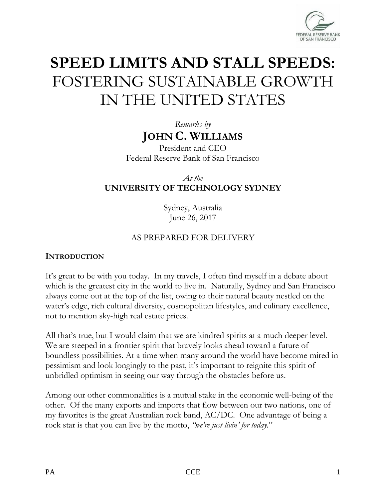

# **SPEED LIMITS AND STALL SPEEDS:** FOSTERING SUSTAINABLE GROWTH IN THE UNITED STATES

*Remarks by* **JOHN C. WILLIAMS**

President and CEO Federal Reserve Bank of San Francisco

*At the*  **UNIVERSITY OF TECHNOLOGY SYDNEY**

> Sydney, Australia June 26, 2017

#### AS PREPARED FOR DELIVERY

#### **INTRODUCTION**

It's great to be with you today. In my travels, I often find myself in a debate about which is the greatest city in the world to live in. Naturally, Sydney and San Francisco always come out at the top of the list, owing to their natural beauty nestled on the water's edge, rich cultural diversity, cosmopolitan lifestyles, and culinary excellence, not to mention sky-high real estate prices.

All that's true, but I would claim that we are kindred spirits at a much deeper level. We are steeped in a frontier spirit that bravely looks ahead toward a future of boundless possibilities. At a time when many around the world have become mired in pessimism and look longingly to the past, it's important to reignite this spirit of unbridled optimism in seeing our way through the obstacles before us.

Among our other commonalities is a mutual stake in the economic well-being of the other. Of the many exports and imports that flow between our two nations, one of my favorites is the great Australian rock band, AC/DC. One advantage of being a rock star is that you can live by the motto, *"we're just livin' for today.*"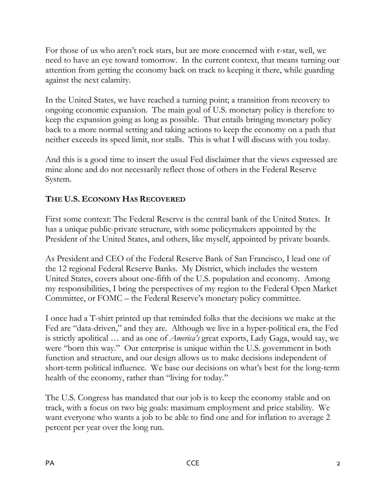For those of us who aren't rock stars, but are more concerned with r-star, well, we need to have an eye toward tomorrow. In the current context, that means turning our attention from getting the economy back on track to keeping it there, while guarding against the next calamity.

In the United States, we have reached a turning point; a transition from recovery to ongoing economic expansion. The main goal of U.S. monetary policy is therefore to keep the expansion going as long as possible. That entails bringing monetary policy back to a more normal setting and taking actions to keep the economy on a path that neither exceeds its speed limit, nor stalls. This is what I will discuss with you today.

And this is a good time to insert the usual Fed disclaimer that the views expressed are mine alone and do not necessarily reflect those of others in the Federal Reserve System.

# **THE U.S. ECONOMY HAS RECOVERED**

First some context: The Federal Reserve is the central bank of the United States. It has a unique public-private structure, with some policymakers appointed by the President of the United States, and others, like myself, appointed by private boards.

As President and CEO of the Federal Reserve Bank of San Francisco, I lead one of the 12 regional Federal Reserve Banks. My District, which includes the western United States, covers about one-fifth of the U.S. population and economy. Among my responsibilities, I bring the perspectives of my region to the Federal Open Market Committee, or FOMC – the Federal Reserve's monetary policy committee.

I once had a T-shirt printed up that reminded folks that the decisions we make at the Fed are "data-driven," and they are. Although we live in a hyper-political era, the Fed is strictly apolitical … and as one of *America's* great exports, Lady Gaga, would say, we were "born this way." Our enterprise is unique within the U.S. government in both function and structure, and our design allows us to make decisions independent of short-term political influence. We base our decisions on what's best for the long-term health of the economy, rather than "living for today."

The U.S. Congress has mandated that our job is to keep the economy stable and on track, with a focus on two big goals: maximum employment and price stability. We want everyone who wants a job to be able to find one and for inflation to average 2 percent per year over the long run.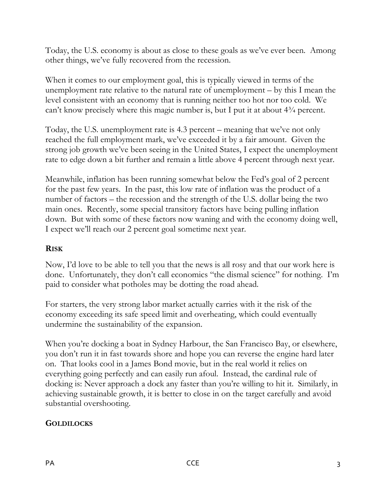Today, the U.S. economy is about as close to these goals as we've ever been. Among other things, we've fully recovered from the recession.

When it comes to our employment goal, this is typically viewed in terms of the unemployment rate relative to the natural rate of unemployment – by this I mean the level consistent with an economy that is running neither too hot nor too cold. We can't know precisely where this magic number is, but I put it at about  $4\frac{3}{4}$  percent.

Today, the U.S. unemployment rate is 4.3 percent – meaning that we've not only reached the full employment mark, we've exceeded it by a fair amount. Given the strong job growth we've been seeing in the United States, I expect the unemployment rate to edge down a bit further and remain a little above 4 percent through next year.

Meanwhile, inflation has been running somewhat below the Fed's goal of 2 percent for the past few years. In the past, this low rate of inflation was the product of a number of factors – the recession and the strength of the U.S. dollar being the two main ones. Recently, some special transitory factors have being pulling inflation down. But with some of these factors now waning and with the economy doing well, I expect we'll reach our 2 percent goal sometime next year.

### **RISK**

Now, I'd love to be able to tell you that the news is all rosy and that our work here is done. Unfortunately, they don't call economics "the dismal science" for nothing. I'm paid to consider what potholes may be dotting the road ahead.

For starters, the very strong labor market actually carries with it the risk of the economy exceeding its safe speed limit and overheating, which could eventually undermine the sustainability of the expansion.

When you're docking a boat in Sydney Harbour, the San Francisco Bay, or elsewhere, you don't run it in fast towards shore and hope you can reverse the engine hard later on. That looks cool in a James Bond movie, but in the real world it relies on everything going perfectly and can easily run afoul. Instead, the cardinal rule of docking is: Never approach a dock any faster than you're willing to hit it. Similarly, in achieving sustainable growth, it is better to close in on the target carefully and avoid substantial overshooting.

# **GOLDILOCKS**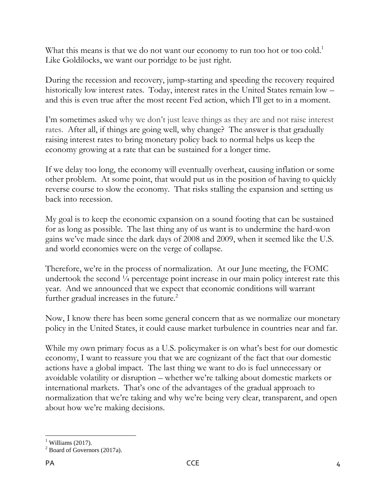What this means is that we do not want our economy to run too hot or too cold.<sup>1</sup> Like Goldilocks, we want our porridge to be just right.

During the recession and recovery, jump-starting and speeding the recovery required historically low interest rates. Today, interest rates in the United States remain low – and this is even true after the most recent Fed action, which I'll get to in a moment.

I'm sometimes asked why we don't just leave things as they are and not raise interest rates. After all, if things are going well, why change? The answer is that gradually raising interest rates to bring monetary policy back to normal helps us keep the economy growing at a rate that can be sustained for a longer time.

If we delay too long, the economy will eventually overheat, causing inflation or some other problem. At some point, that would put us in the position of having to quickly reverse course to slow the economy. That risks stalling the expansion and setting us back into recession.

My goal is to keep the economic expansion on a sound footing that can be sustained for as long as possible. The last thing any of us want is to undermine the hard-won gains we've made since the dark days of 2008 and 2009, when it seemed like the U.S. and world economies were on the verge of collapse.

Therefore, we're in the process of normalization. At our June meeting, the FOMC undertook the second <sup>1</sup>/4 percentage point increase in our main policy interest rate this year. And we announced that we expect that economic conditions will warrant further gradual increases in the future.<sup>2</sup>

Now, I know there has been some general concern that as we normalize our monetary policy in the United States, it could cause market turbulence in countries near and far.

While my own primary focus as a U.S. policymaker is on what's best for our domestic economy, I want to reassure you that we are cognizant of the fact that our domestic actions have a global impact. The last thing we want to do is fuel unnecessary or avoidable volatility or disruption – whether we're talking about domestic markets or international markets. That's one of the advantages of the gradual approach to normalization that we're taking and why we're being very clear, transparent, and open about how we're making decisions.

 $\overline{a}$  $<sup>1</sup>$  Williams (2017).</sup>

 $2$  Board of Governors (2017a).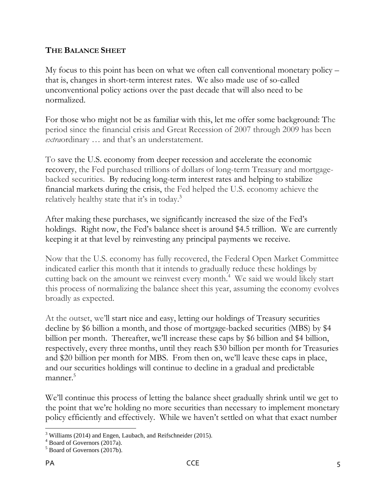#### **THE BALANCE SHEET**

My focus to this point has been on what we often call conventional monetary policy – that is, changes in short-term interest rates. We also made use of so-called unconventional policy actions over the past decade that will also need to be normalized.

For those who might not be as familiar with this, let me offer some background: The period since the financial crisis and Great Recession of 2007 through 2009 has been *extra*ordinary … and that's an understatement.

To save the U.S. economy from deeper recession and accelerate the economic recovery, the Fed purchased trillions of dollars of long-term Treasury and mortgagebacked securities. By reducing long-term interest rates and helping to stabilize financial markets during the crisis, the Fed helped the U.S. economy achieve the relatively healthy state that it's in today.<sup>3</sup>

After making these purchases, we significantly increased the size of the Fed's holdings. Right now, the Fed's balance sheet is around \$4.5 trillion. We are currently keeping it at that level by reinvesting any principal payments we receive.

Now that the U.S. economy has fully recovered, the Federal Open Market Committee indicated earlier this month that it intends to gradually reduce these holdings by cutting back on the amount we reinvest every month.<sup>4</sup> We said we would likely start this process of normalizing the balance sheet this year, assuming the economy evolves broadly as expected.

At the outset, we'll start nice and easy, letting our holdings of Treasury securities decline by \$6 billion a month, and those of mortgage-backed securities (MBS) by \$4 billion per month. Thereafter, we'll increase these caps by \$6 billion and \$4 billion, respectively, every three months, until they reach \$30 billion per month for Treasuries and \$20 billion per month for MBS. From then on, we'll leave these caps in place, and our securities holdings will continue to decline in a gradual and predictable  $m$ anner. $5$ 

We'll continue this process of letting the balance sheet gradually shrink until we get to the point that we're holding no more securities than necessary to implement monetary policy efficiently and effectively. While we haven't settled on what that exact number

 $\overline{a}$  $3$  Williams (2014) and Engen, Laubach, and Reifschneider (2015).

<sup>4</sup> Board of Governors (2017a).

<sup>5</sup> Board of Governors (2017b).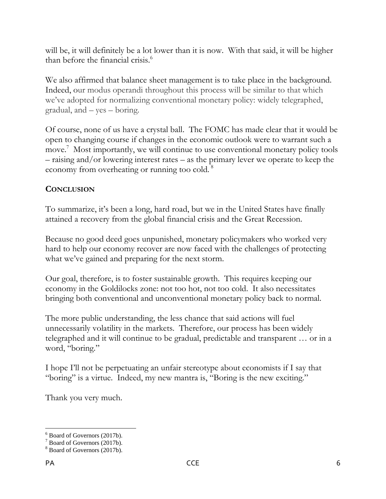will be, it will definitely be a lot lower than it is now. With that said, it will be higher than before the financial crisis.<sup>6</sup>

We also affirmed that balance sheet management is to take place in the background. Indeed, our modus operandi throughout this process will be similar to that which we've adopted for normalizing conventional monetary policy: widely telegraphed, gradual, and – yes – boring.

Of course, none of us have a crystal ball. The FOMC has made clear that it would be open to changing course if changes in the economic outlook were to warrant such a move. 7 Most importantly, we will continue to use conventional monetary policy tools – raising and/or lowering interest rates – as the primary lever we operate to keep the economy from overheating or running too cold.<sup>8</sup>

## **CONCLUSION**

To summarize, it's been a long, hard road, but we in the United States have finally attained a recovery from the global financial crisis and the Great Recession.

Because no good deed goes unpunished, monetary policymakers who worked very hard to help our economy recover are now faced with the challenges of protecting what we've gained and preparing for the next storm.

Our goal, therefore, is to foster sustainable growth. This requires keeping our economy in the Goldilocks zone: not too hot, not too cold. It also necessitates bringing both conventional and unconventional monetary policy back to normal.

The more public understanding, the less chance that said actions will fuel unnecessarily volatility in the markets. Therefore, our process has been widely telegraphed and it will continue to be gradual, predictable and transparent … or in a word, "boring."

I hope I'll not be perpetuating an unfair stereotype about economists if I say that "boring" is a virtue. Indeed, my new mantra is, "Boring is the new exciting."

Thank you very much.

 $\overline{a}$ <sup>6</sup> Board of Governors (2017b).

 $7$  Board of Governors (2017b).

<sup>&</sup>lt;sup>8</sup> Board of Governors (2017b).